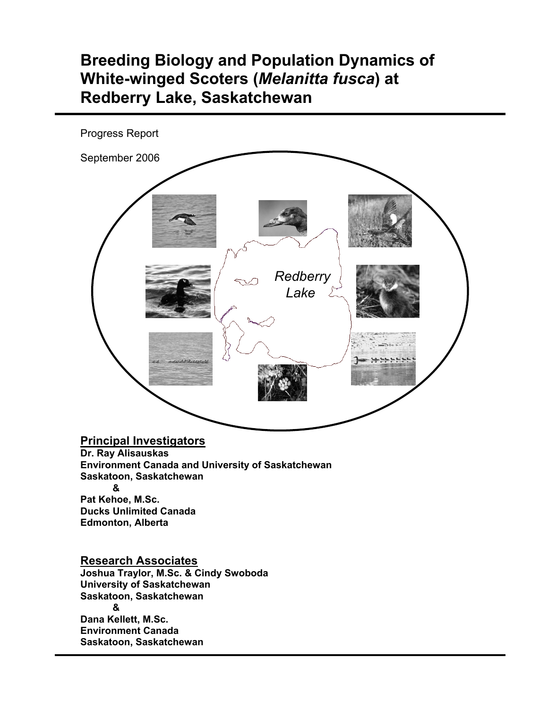# **Breeding Biology and Population Dynamics of White-winged Scoters (***Melanitta fusca***) at Redberry Lake, Saskatchewan**



**Saskatoon, Saskatchewan**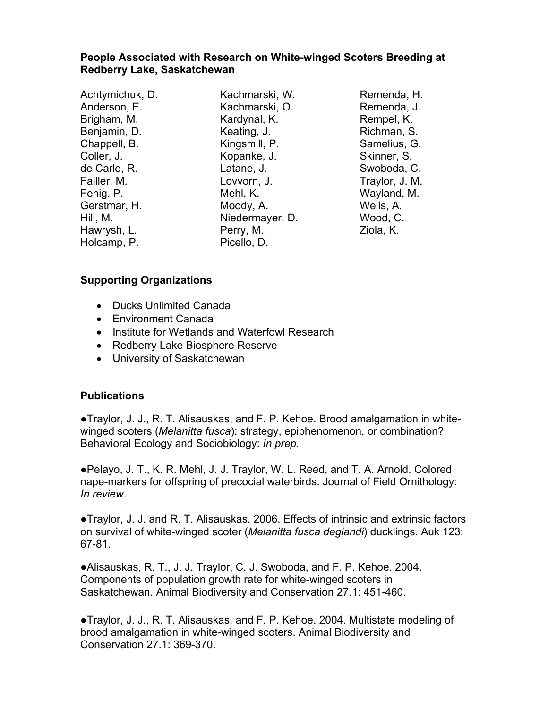## **People Associated with Research on White-winged Scoters Breeding at Redberry Lake, Saskatchewan**

Achtymichuk, D. Anderson, E. Brigham, M. Benjamin, D. Chappell, B. Coller, J. de Carle, R. Failler, M. Fenig, P. Gerstmar, H. Hill, M. Hawrysh, L. Holcamp, P.

Kachmarski, W. Kachmarski, O. Kardynal, K. Keating, J. Kingsmill, P. Kopanke, J. Latane, J. Lovvorn, J. Mehl, K. Moody, A. Niedermayer, D. Perry, M. Picello, D.

Remenda, H. Remenda, J. Rempel, K. Richman, S. Samelius, G. Skinner, S. Swoboda, C. Traylor, J. M. Wayland, M. Wells, A. Wood, C. Ziola, K.

# **Supporting Organizations**

- Ducks Unlimited Canada
- Environment Canada
- Institute for Wetlands and Waterfowl Research
- Redberry Lake Biosphere Reserve
- University of Saskatchewan

#### **Publications**

●Traylor, J. J., R. T. Alisauskas, and F. P. Kehoe. Brood amalgamation in whitewinged scoters (*Melanitta fusca*): strategy, epiphenomenon, or combination? Behavioral Ecology and Sociobiology: *In prep.*

**●**Pelayo, J. T., K. R. Mehl, J. J. Traylor, W. L. Reed, and T. A. Arnold. Colored nape-markers for offspring of precocial waterbirds. Journal of Field Ornithology: *In review*.

**●**Traylor, J. J. and R. T. Alisauskas. 2006. Effects of intrinsic and extrinsic factors on survival of white-winged scoter (*Melanitta fusca deglandi*) ducklings. Auk 123: 67-81.

**●**Alisauskas, R. T., J. J. Traylor, C. J. Swoboda, and F. P. Kehoe. 2004. Components of population growth rate for white-winged scoters in Saskatchewan. Animal Biodiversity and Conservation 27.1: 451-460.

**●**Traylor, J. J., R. T. Alisauskas, and F. P. Kehoe. 2004. Multistate modeling of brood amalgamation in white-winged scoters. Animal Biodiversity and Conservation 27.1: 369-370.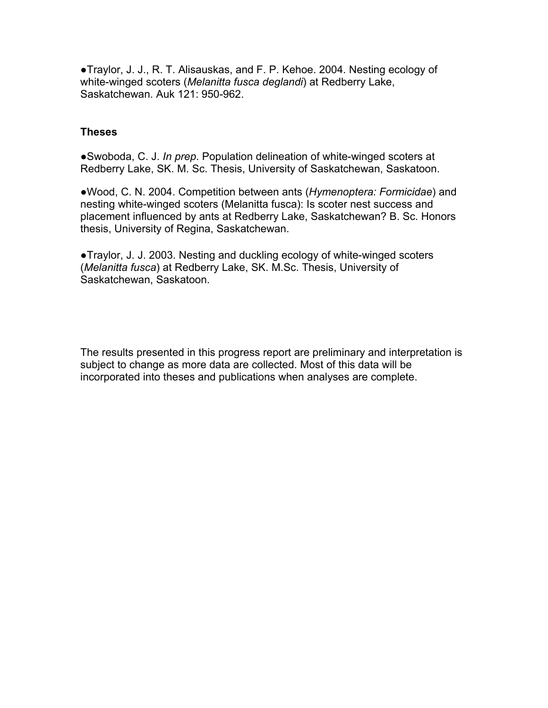**●**Traylor, J. J., R. T. Alisauskas, and F. P. Kehoe. 2004. Nesting ecology of white-winged scoters (*Melanitta fusca deglandi*) at Redberry Lake, Saskatchewan. Auk 121: 950-962.

#### **Theses**

●Swoboda, C. J. *In prep*. Population delineation of white-winged scoters at Redberry Lake, SK. M. Sc. Thesis, University of Saskatchewan, Saskatoon.

●Wood, C. N. 2004. Competition between ants (*Hymenoptera: Formicidae*) and nesting white-winged scoters (Melanitta fusca): Is scoter nest success and placement influenced by ants at Redberry Lake, Saskatchewan? B. Sc. Honors thesis, University of Regina, Saskatchewan.

**●**Traylor, J. J. 2003. Nesting and duckling ecology of white-winged scoters (*Melanitta fusca*) at Redberry Lake, SK. M.Sc. Thesis, University of Saskatchewan, Saskatoon.

The results presented in this progress report are preliminary and interpretation is subject to change as more data are collected. Most of this data will be incorporated into theses and publications when analyses are complete.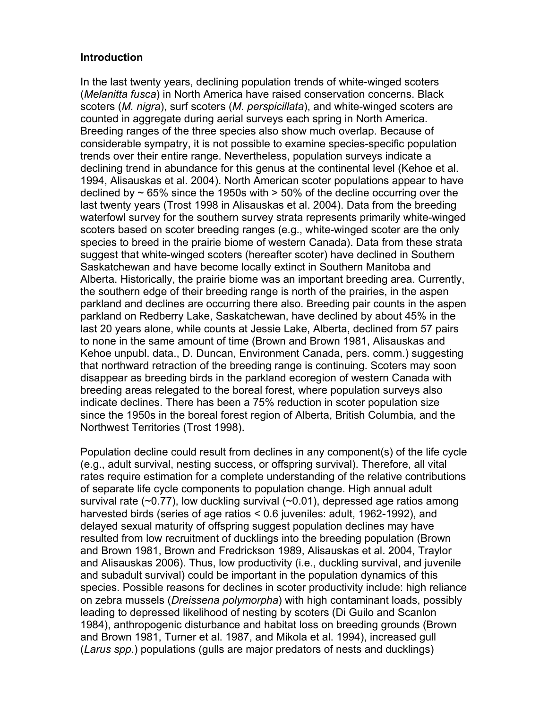#### **Introduction**

In the last twenty years, declining population trends of white-winged scoters (*Melanitta fusca*) in North America have raised conservation concerns. Black scoters (*M. nigra*), surf scoters (*M. perspicillata*), and white-winged scoters are counted in aggregate during aerial surveys each spring in North America. Breeding ranges of the three species also show much overlap. Because of considerable sympatry, it is not possible to examine species-specific population trends over their entire range. Nevertheless, population surveys indicate a declining trend in abundance for this genus at the continental level (Kehoe et al. 1994, Alisauskas et al. 2004). North American scoter populations appear to have declined by  $\sim$  65% since the 1950s with  $>$  50% of the decline occurring over the last twenty years (Trost 1998 in Alisauskas et al. 2004). Data from the breeding waterfowl survey for the southern survey strata represents primarily white-winged scoters based on scoter breeding ranges (e.g., white-winged scoter are the only species to breed in the prairie biome of western Canada). Data from these strata suggest that white-winged scoters (hereafter scoter) have declined in Southern Saskatchewan and have become locally extinct in Southern Manitoba and Alberta. Historically, the prairie biome was an important breeding area. Currently, the southern edge of their breeding range is north of the prairies, in the aspen parkland and declines are occurring there also. Breeding pair counts in the aspen parkland on Redberry Lake, Saskatchewan, have declined by about 45% in the last 20 years alone, while counts at Jessie Lake, Alberta, declined from 57 pairs to none in the same amount of time (Brown and Brown 1981, Alisauskas and Kehoe unpubl. data., D. Duncan, Environment Canada, pers. comm.) suggesting that northward retraction of the breeding range is continuing. Scoters may soon disappear as breeding birds in the parkland ecoregion of western Canada with breeding areas relegated to the boreal forest, where population surveys also indicate declines. There has been a 75% reduction in scoter population size since the 1950s in the boreal forest region of Alberta, British Columbia, and the Northwest Territories (Trost 1998).

Population decline could result from declines in any component(s) of the life cycle (e.g., adult survival, nesting success, or offspring survival). Therefore, all vital rates require estimation for a complete understanding of the relative contributions of separate life cycle components to population change. High annual adult survival rate  $(-0.77)$ , low duckling survival  $(-0.01)$ , depressed age ratios among harvested birds (series of age ratios < 0.6 juveniles: adult, 1962-1992), and delayed sexual maturity of offspring suggest population declines may have resulted from low recruitment of ducklings into the breeding population (Brown and Brown 1981, Brown and Fredrickson 1989, Alisauskas et al. 2004, Traylor and Alisauskas 2006). Thus, low productivity (i.e., duckling survival, and juvenile and subadult survival) could be important in the population dynamics of this species. Possible reasons for declines in scoter productivity include: high reliance on zebra mussels (*Dreissena polymorpha*) with high contaminant loads, possibly leading to depressed likelihood of nesting by scoters (Di Guilo and Scanlon 1984), anthropogenic disturbance and habitat loss on breeding grounds (Brown and Brown 1981, Turner et al. 1987, and Mikola et al. 1994), increased gull (*Larus spp*.) populations (gulls are major predators of nests and ducklings)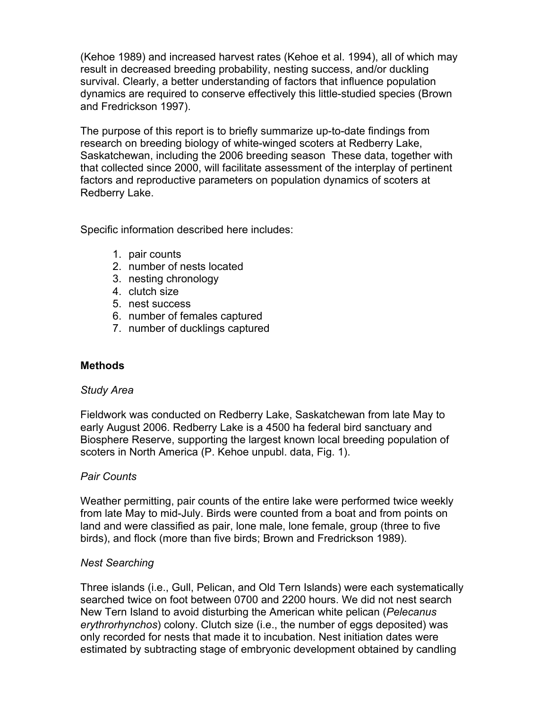(Kehoe 1989) and increased harvest rates (Kehoe et al. 1994), all of which may result in decreased breeding probability, nesting success, and/or duckling survival. Clearly, a better understanding of factors that influence population dynamics are required to conserve effectively this little-studied species (Brown and Fredrickson 1997).

The purpose of this report is to briefly summarize up-to-date findings from research on breeding biology of white-winged scoters at Redberry Lake, Saskatchewan, including the 2006 breeding season These data, together with that collected since 2000, will facilitate assessment of the interplay of pertinent factors and reproductive parameters on population dynamics of scoters at Redberry Lake.

Specific information described here includes:

- 1. pair counts
- 2. number of nests located
- 3. nesting chronology
- 4. clutch size
- 5. nest success
- 6. number of females captured
- 7. number of ducklings captured

# **Methods**

#### *Study Area*

Fieldwork was conducted on Redberry Lake, Saskatchewan from late May to early August 2006. Redberry Lake is a 4500 ha federal bird sanctuary and Biosphere Reserve, supporting the largest known local breeding population of scoters in North America (P. Kehoe unpubl. data, Fig. 1).

#### *Pair Counts*

Weather permitting, pair counts of the entire lake were performed twice weekly from late May to mid-July. Birds were counted from a boat and from points on land and were classified as pair, lone male, lone female, group (three to five birds), and flock (more than five birds; Brown and Fredrickson 1989).

#### *Nest Searching*

Three islands (i.e., Gull, Pelican, and Old Tern Islands) were each systematically searched twice on foot between 0700 and 2200 hours. We did not nest search New Tern Island to avoid disturbing the American white pelican (*Pelecanus erythrorhynchos*) colony. Clutch size (i.e., the number of eggs deposited) was only recorded for nests that made it to incubation. Nest initiation dates were estimated by subtracting stage of embryonic development obtained by candling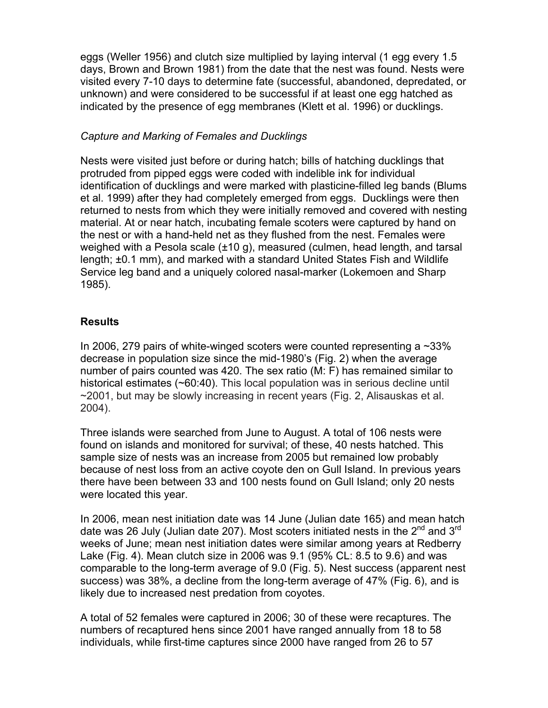eggs (Weller 1956) and clutch size multiplied by laying interval (1 egg every 1.5 days, Brown and Brown 1981) from the date that the nest was found. Nests were visited every 7-10 days to determine fate (successful, abandoned, depredated, or unknown) and were considered to be successful if at least one egg hatched as indicated by the presence of egg membranes (Klett et al. 1996) or ducklings.

## *Capture and Marking of Females and Ducklings*

Nests were visited just before or during hatch; bills of hatching ducklings that protruded from pipped eggs were coded with indelible ink for individual identification of ducklings and were marked with plasticine-filled leg bands (Blums et al. 1999) after they had completely emerged from eggs. Ducklings were then returned to nests from which they were initially removed and covered with nesting material. At or near hatch, incubating female scoters were captured by hand on the nest or with a hand-held net as they flushed from the nest. Females were weighed with a Pesola scale (±10 g), measured (culmen, head length, and tarsal length; ±0.1 mm), and marked with a standard United States Fish and Wildlife Service leg band and a uniquely colored nasal-marker (Lokemoen and Sharp 1985).

# **Results**

In 2006, 279 pairs of white-winged scoters were counted representing a  $\sim$ 33% decrease in population size since the mid-1980's (Fig. 2) when the average number of pairs counted was 420. The sex ratio (M: F) has remained similar to historical estimates (~60:40). This local population was in serious decline until ~2001, but may be slowly increasing in recent years (Fig. 2, Alisauskas et al. 2004).

Three islands were searched from June to August. A total of 106 nests were found on islands and monitored for survival; of these, 40 nests hatched. This sample size of nests was an increase from 2005 but remained low probably because of nest loss from an active coyote den on Gull Island. In previous years there have been between 33 and 100 nests found on Gull Island; only 20 nests were located this year.

In 2006, mean nest initiation date was 14 June (Julian date 165) and mean hatch date was 26 July (Julian date 207). Most scoters initiated nests in the  $2^{nd}$  and  $3^{rd}$ weeks of June; mean nest initiation dates were similar among years at Redberry Lake (Fig. 4). Mean clutch size in 2006 was 9.1 (95% CL: 8.5 to 9.6) and was comparable to the long-term average of 9.0 (Fig. 5). Nest success (apparent nest success) was 38%, a decline from the long-term average of 47% (Fig. 6), and is likely due to increased nest predation from coyotes.

A total of 52 females were captured in 2006; 30 of these were recaptures. The numbers of recaptured hens since 2001 have ranged annually from 18 to 58 individuals, while first-time captures since 2000 have ranged from 26 to 57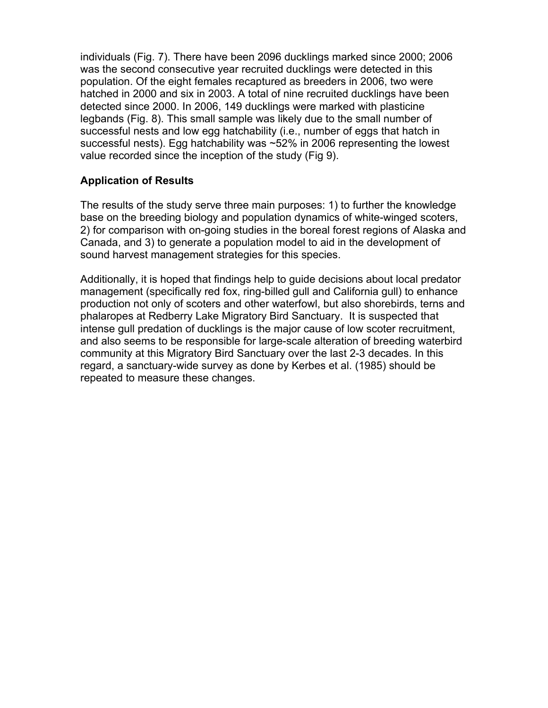individuals (Fig. 7). There have been 2096 ducklings marked since 2000; 2006 was the second consecutive year recruited ducklings were detected in this population. Of the eight females recaptured as breeders in 2006, two were hatched in 2000 and six in 2003. A total of nine recruited ducklings have been detected since 2000. In 2006, 149 ducklings were marked with plasticine legbands (Fig. 8). This small sample was likely due to the small number of successful nests and low egg hatchability (i.e., number of eggs that hatch in successful nests). Egg hatchability was ~52% in 2006 representing the lowest value recorded since the inception of the study (Fig 9).

## **Application of Results**

The results of the study serve three main purposes: 1) to further the knowledge base on the breeding biology and population dynamics of white-winged scoters, 2) for comparison with on-going studies in the boreal forest regions of Alaska and Canada, and 3) to generate a population model to aid in the development of sound harvest management strategies for this species.

Additionally, it is hoped that findings help to guide decisions about local predator management (specifically red fox, ring-billed gull and California gull) to enhance production not only of scoters and other waterfowl, but also shorebirds, terns and phalaropes at Redberry Lake Migratory Bird Sanctuary. It is suspected that intense gull predation of ducklings is the major cause of low scoter recruitment, and also seems to be responsible for large-scale alteration of breeding waterbird community at this Migratory Bird Sanctuary over the last 2-3 decades. In this regard, a sanctuary-wide survey as done by Kerbes et al. (1985) should be repeated to measure these changes.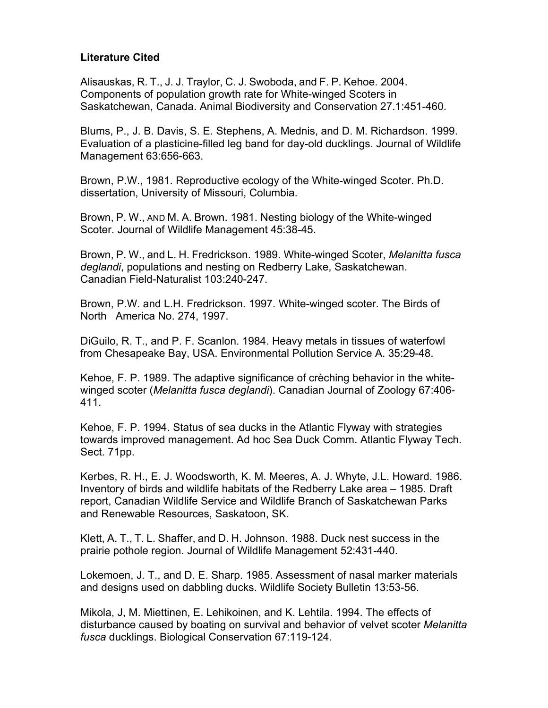#### **Literature Cited**

Alisauskas, R. T., J. J. Traylor, C. J. Swoboda, and F. P. Kehoe. 2004. Components of population growth rate for White-winged Scoters in Saskatchewan, Canada. Animal Biodiversity and Conservation 27.1:451-460.

Blums, P., J. B. Davis, S. E. Stephens, A. Mednis, and D. M. Richardson. 1999. Evaluation of a plasticine-filled leg band for day-old ducklings. Journal of Wildlife Management 63:656-663.

Brown, P.W., 1981. Reproductive ecology of the White-winged Scoter. Ph.D. dissertation, University of Missouri, Columbia.

Brown, P. W., AND M. A. Brown. 1981. Nesting biology of the White-winged Scoter. Journal of Wildlife Management 45:38-45.

Brown, P. W., and L. H. Fredrickson. 1989. White-winged Scoter, *Melanitta fusca deglandi*, populations and nesting on Redberry Lake, Saskatchewan. Canadian Field-Naturalist 103:240-247.

Brown, P.W. and L.H. Fredrickson. 1997. White-winged scoter. The Birds of North America No. 274, 1997.

DiGuilo, R. T., and P. F. Scanlon. 1984. Heavy metals in tissues of waterfowl from Chesapeake Bay, USA. Environmental Pollution Service A. 35:29-48.

Kehoe, F. P. 1989. The adaptive significance of crèching behavior in the whitewinged scoter (*Melanitta fusca deglandi*). Canadian Journal of Zoology 67:406- 411.

Kehoe, F. P. 1994. Status of sea ducks in the Atlantic Flyway with strategies towards improved management. Ad hoc Sea Duck Comm. Atlantic Flyway Tech. Sect. 71pp.

Kerbes, R. H., E. J. Woodsworth, K. M. Meeres, A. J. Whyte, J.L. Howard. 1986. Inventory of birds and wildlife habitats of the Redberry Lake area – 1985. Draft report, Canadian Wildlife Service and Wildlife Branch of Saskatchewan Parks and Renewable Resources, Saskatoon, SK.

Klett, A. T., T. L. Shaffer, and D. H. Johnson. 1988. Duck nest success in the prairie pothole region. Journal of Wildlife Management 52:431-440.

Lokemoen, J. T., and D. E. Sharp. 1985. Assessment of nasal marker materials and designs used on dabbling ducks. Wildlife Society Bulletin 13:53-56.

Mikola, J, M. Miettinen, E. Lehikoinen, and K. Lehtila. 1994. The effects of disturbance caused by boating on survival and behavior of velvet scoter *Melanitta fusca* ducklings. Biological Conservation 67:119-124.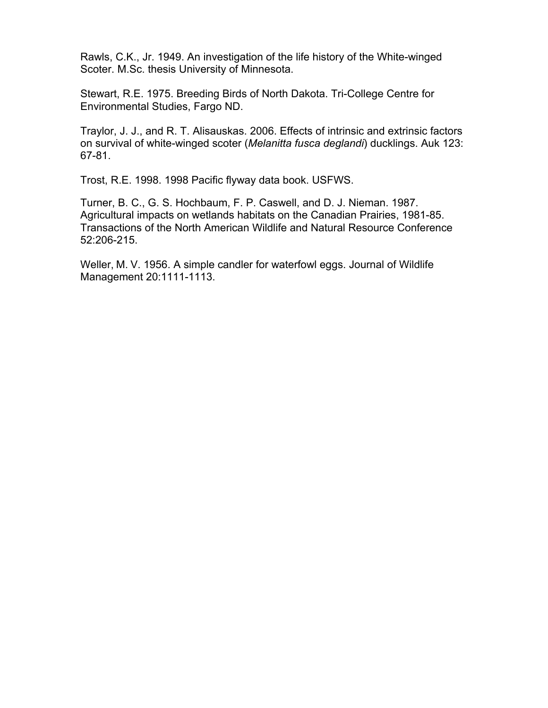Rawls, C.K., Jr. 1949. An investigation of the life history of the White-winged Scoter. M.Sc. thesis University of Minnesota.

Stewart, R.E. 1975. Breeding Birds of North Dakota. Tri-College Centre for Environmental Studies, Fargo ND.

Traylor, J. J., and R. T. Alisauskas. 2006. Effects of intrinsic and extrinsic factors on survival of white-winged scoter (*Melanitta fusca deglandi*) ducklings. Auk 123: 67-81.

Trost, R.E. 1998. 1998 Pacific flyway data book. USFWS.

Turner, B. C., G. S. Hochbaum, F. P. Caswell, and D. J. Nieman. 1987. Agricultural impacts on wetlands habitats on the Canadian Prairies, 1981-85. Transactions of the North American Wildlife and Natural Resource Conference 52:206-215.

Weller, M. V. 1956. A simple candler for waterfowl eggs. Journal of Wildlife Management 20:1111-1113.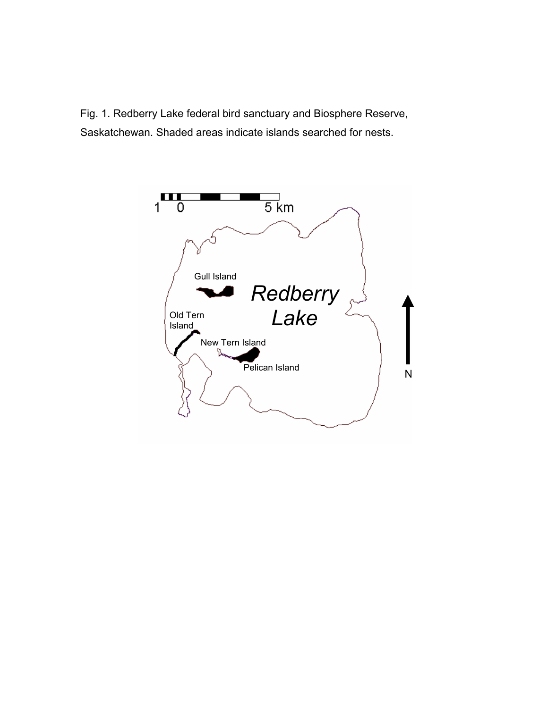Fig. 1. Redberry Lake federal bird sanctuary and Biosphere Reserve, Saskatchewan. Shaded areas indicate islands searched for nests.

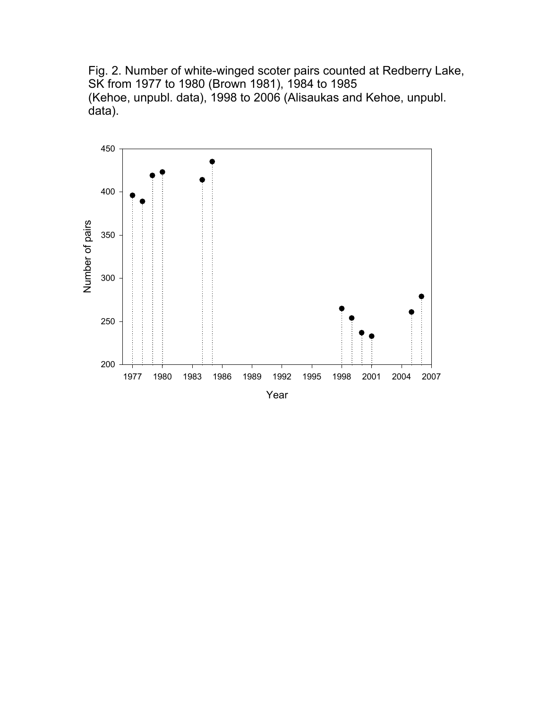Fig. 2. Number of white-winged scoter pairs counted at Redberry Lake, SK from 1977 to 1980 (Brown 1981), 1984 to 1985 (Kehoe, unpubl. data), 1998 to 2006 (Alisaukas and Kehoe, unpubl. data).

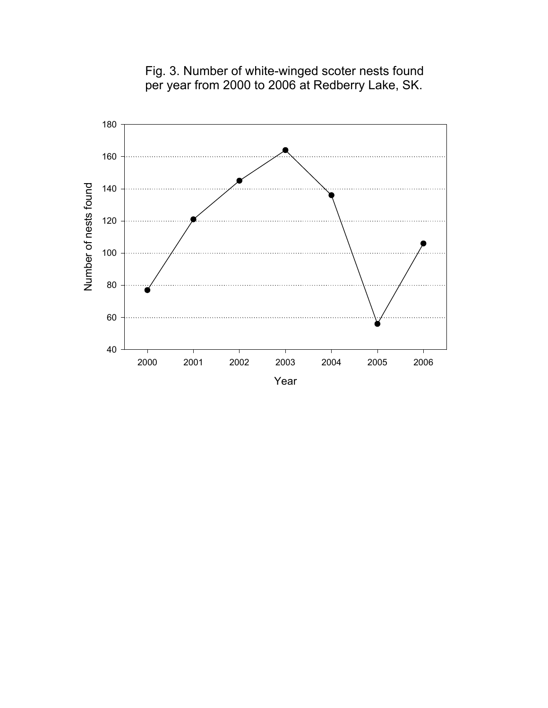

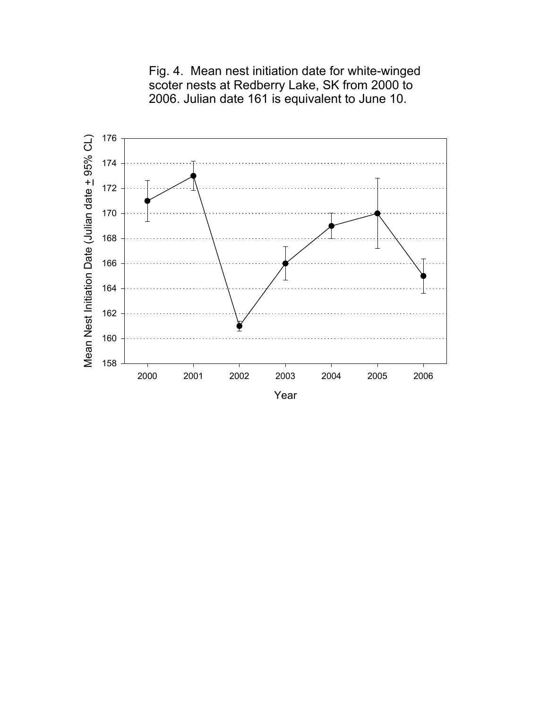

Fig. 4. Mean nest initiation date for white-winged scoter nests at Redberry Lake, SK from 2000 to 2006. Julian date 161 is equivalent to June 10.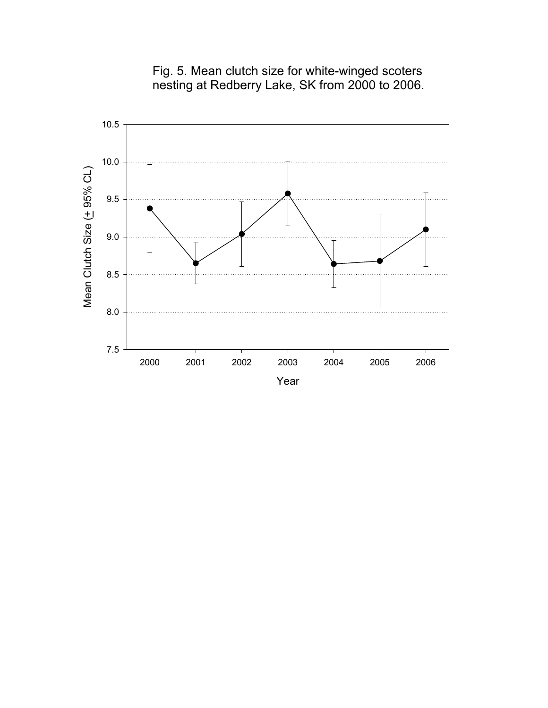

Fig. 5. Mean clutch size for white-winged scoters nesting at Redberry Lake, SK from 2000 to 2006.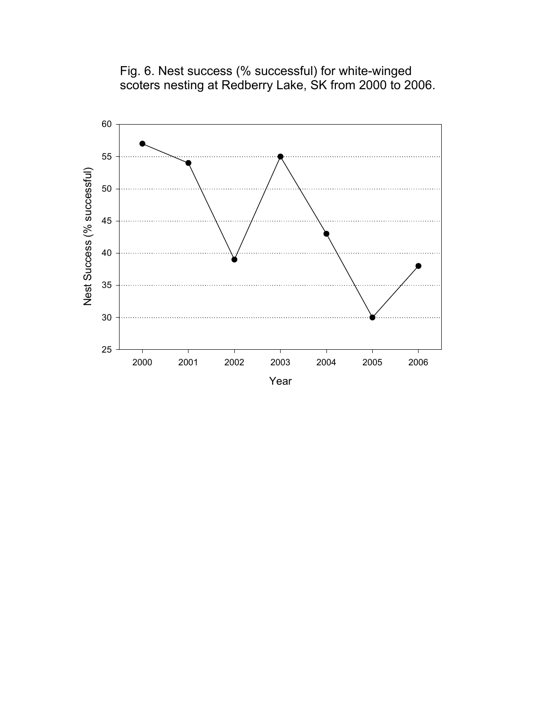

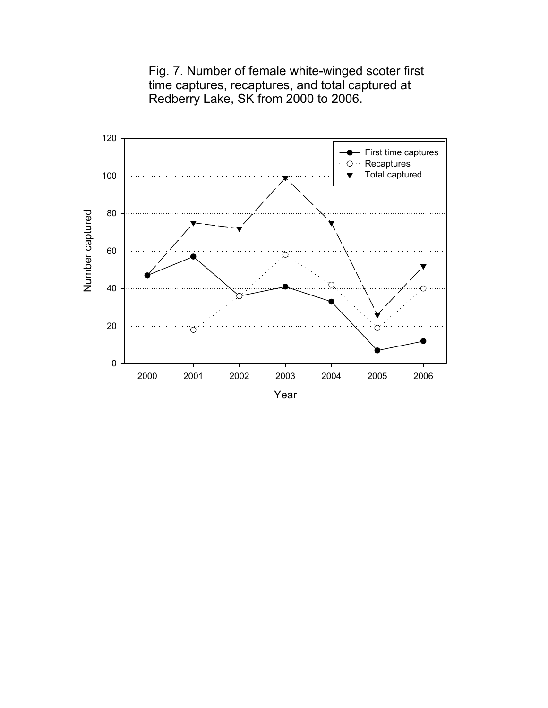

Fig. 7. Number of female white-winged scoter first time captures, recaptures, and total captured at Redberry Lake, SK from 2000 to 2006.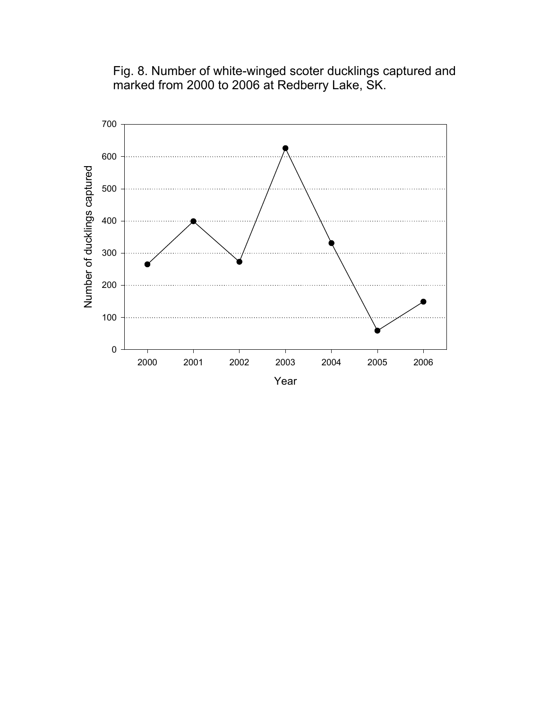